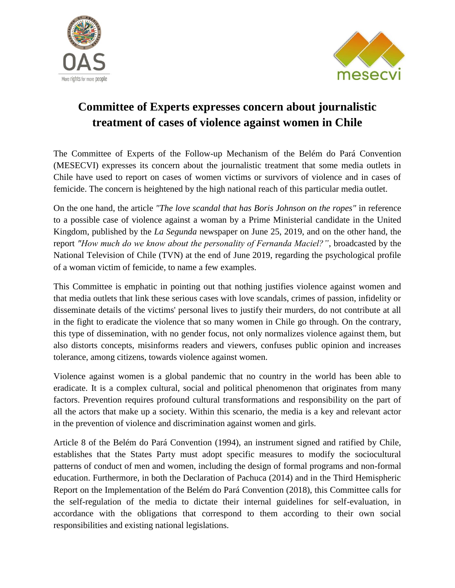



## **Committee of Experts expresses concern about journalistic treatment of cases of violence against women in Chile**

The Committee of Experts of the Follow-up Mechanism of the Belém do Pará Convention (MESECVI) expresses its concern about the journalistic treatment that some media outlets in Chile have used to report on cases of women victims or survivors of violence and in cases of femicide. The concern is heightened by the high national reach of this particular media outlet.

On the one hand, the article *"The love scandal that has Boris Johnson on the ropes"* in reference to a possible case of violence against a woman by a Prime Ministerial candidate in the United Kingdom, published by the *La Segunda* newspaper on June 25, 2019, and on the other hand, the report *"How much do we know about the personality of Fernanda Maciel?"*, broadcasted by the National Television of Chile (TVN) at the end of June 2019, regarding the psychological profile of a woman victim of femicide, to name a few examples.

This Committee is emphatic in pointing out that nothing justifies violence against women and that media outlets that link these serious cases with love scandals, crimes of passion, infidelity or disseminate details of the victims' personal lives to justify their murders, do not contribute at all in the fight to eradicate the violence that so many women in Chile go through. On the contrary, this type of dissemination, with no gender focus, not only normalizes violence against them, but also distorts concepts, misinforms readers and viewers, confuses public opinion and increases tolerance, among citizens, towards violence against women.

Violence against women is a global pandemic that no country in the world has been able to eradicate. It is a complex cultural, social and political phenomenon that originates from many factors. Prevention requires profound cultural transformations and responsibility on the part of all the actors that make up a society. Within this scenario, the media is a key and relevant actor in the prevention of violence and discrimination against women and girls.

Article 8 of the Belém do Pará Convention (1994), an instrument signed and ratified by Chile, establishes that the States Party must adopt specific measures to modify the sociocultural patterns of conduct of men and women, including the design of formal programs and non-formal education. Furthermore, in both the Declaration of Pachuca (2014) and in the Third Hemispheric Report on the Implementation of the Belém do Pará Convention (2018), this Committee calls for the self-regulation of the media to dictate their internal guidelines for self-evaluation, in accordance with the obligations that correspond to them according to their own social responsibilities and existing national legislations.